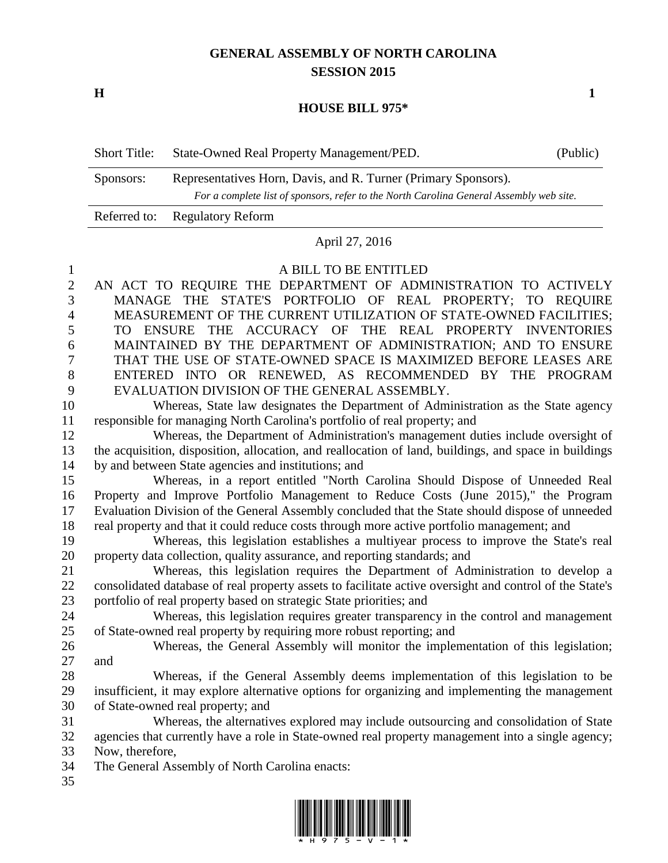## **GENERAL ASSEMBLY OF NORTH CAROLINA SESSION 2015**

**H 1**

## **HOUSE BILL 975\***

| <b>Short Title:</b> | State-Owned Real Property Management/PED.                                                                                                                 | (Public) |
|---------------------|-----------------------------------------------------------------------------------------------------------------------------------------------------------|----------|
| Sponsors:           | Representatives Horn, Davis, and R. Turner (Primary Sponsors).<br>For a complete list of sponsors, refer to the North Carolina General Assembly web site. |          |
|                     | Referred to: Regulatory Reform                                                                                                                            |          |

## April 27, 2016

## A BILL TO BE ENTITLED

| $\mathfrak{2}$ | AN ACT TO REQUIRE THE DEPARTMENT OF ADMINISTRATION TO ACTIVELY                                          |
|----------------|---------------------------------------------------------------------------------------------------------|
| 3              | MANAGE THE STATE'S PORTFOLIO OF REAL PROPERTY; TO REQUIRE                                               |
| $\overline{4}$ | MEASUREMENT OF THE CURRENT UTILIZATION OF STATE-OWNED FACILITIES;                                       |
| 5              | TO ENSURE THE ACCURACY OF THE REAL PROPERTY INVENTORIES                                                 |
| 6              | MAINTAINED BY THE DEPARTMENT OF ADMINISTRATION; AND TO ENSURE                                           |
| 7              | THAT THE USE OF STATE-OWNED SPACE IS MAXIMIZED BEFORE LEASES ARE                                        |
| 8              | ENTERED INTO OR RENEWED, AS RECOMMENDED BY THE PROGRAM                                                  |
| 9              | EVALUATION DIVISION OF THE GENERAL ASSEMBLY.                                                            |
| 10             | Whereas, State law designates the Department of Administration as the State agency                      |
| 11             | responsible for managing North Carolina's portfolio of real property; and                               |
| 12             | Whereas, the Department of Administration's management duties include oversight of                      |
| 13             | the acquisition, disposition, allocation, and reallocation of land, buildings, and space in buildings   |
| 14             | by and between State agencies and institutions; and                                                     |
| 15             | Whereas, in a report entitled "North Carolina Should Dispose of Unneeded Real                           |
| 16             | Property and Improve Portfolio Management to Reduce Costs (June 2015)," the Program                     |
| 17             | Evaluation Division of the General Assembly concluded that the State should dispose of unneeded         |
| 18             | real property and that it could reduce costs through more active portfolio management; and              |
| 19             | Whereas, this legislation establishes a multiyear process to improve the State's real                   |
| 20             | property data collection, quality assurance, and reporting standards; and                               |
| 21             | Whereas, this legislation requires the Department of Administration to develop a                        |
| 22             | consolidated database of real property assets to facilitate active oversight and control of the State's |
| 23             | portfolio of real property based on strategic State priorities; and                                     |
| 24             | Whereas, this legislation requires greater transparency in the control and management                   |
| 25             | of State-owned real property by requiring more robust reporting; and                                    |
| 26             | Whereas, the General Assembly will monitor the implementation of this legislation;                      |
| 27             | and                                                                                                     |
| 28             | Whereas, if the General Assembly deems implementation of this legislation to be                         |
| 29             | insufficient, it may explore alternative options for organizing and implementing the management         |
| 30             | of State-owned real property; and                                                                       |
| 31             | Whereas, the alternatives explored may include outsourcing and consolidation of State                   |
| 32             | agencies that currently have a role in State-owned real property management into a single agency;       |
| 33             | Now, therefore,                                                                                         |
| 34             | The General Assembly of North Carolina enacts:                                                          |
| 35             |                                                                                                         |

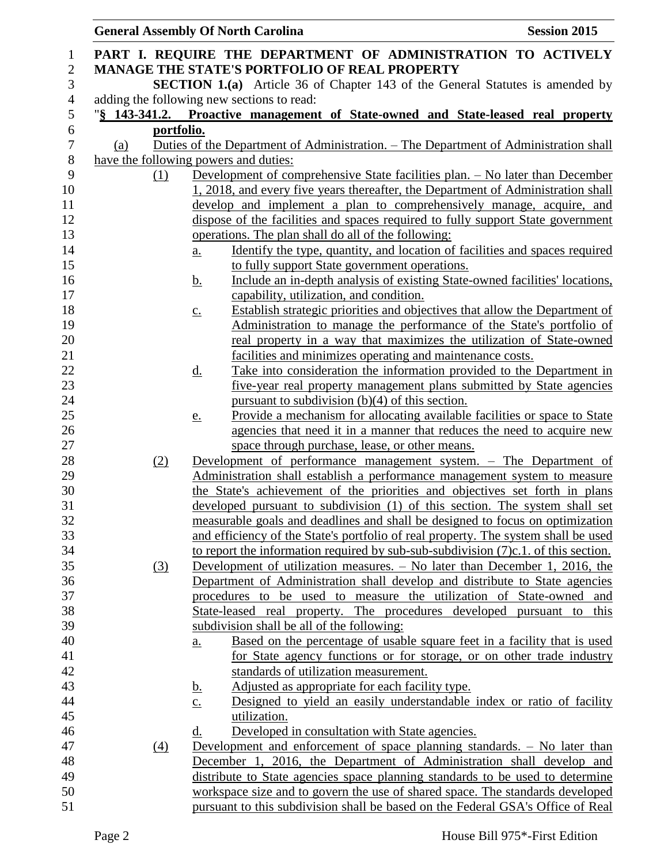|                |            | <b>General Assembly Of North Carolina</b>                                                                                          | <b>Session 2015</b> |
|----------------|------------|------------------------------------------------------------------------------------------------------------------------------------|---------------------|
| 1              |            | PART I. REQUIRE THE DEPARTMENT OF ADMINISTRATION TO ACTIVELY                                                                       |                     |
| $\mathbf{2}$   |            | <b>MANAGE THE STATE'S PORTFOLIO OF REAL PROPERTY</b>                                                                               |                     |
| 3              |            | <b>SECTION 1.(a)</b> Article 36 of Chapter 143 of the General Statutes is amended by                                               |                     |
| $\overline{4}$ |            | adding the following new sections to read:                                                                                         |                     |
| $\sqrt{5}$     |            | "§ 143-341.2. Proactive management of State-owned and State-leased real property                                                   |                     |
| 6              | portfolio. |                                                                                                                                    |                     |
| $\tau$         | (a)        | <u>Duties of the Department of Administration. – The Department of Administration shall</u>                                        |                     |
| 8              |            | have the following powers and duties:                                                                                              |                     |
| 9              | (1)        | Development of comprehensive State facilities plan. - No later than December                                                       |                     |
| 10             |            | 1, 2018, and every five years thereafter, the Department of Administration shall                                                   |                     |
| 11             |            | develop and implement a plan to comprehensively manage, acquire, and                                                               |                     |
| 12             |            | dispose of the facilities and spaces required to fully support State government                                                    |                     |
| 13             |            | operations. The plan shall do all of the following:                                                                                |                     |
| 14             |            | Identify the type, quantity, and location of facilities and spaces required<br><u>a.</u>                                           |                     |
| 15             |            | to fully support State government operations.                                                                                      |                     |
| 16             |            | Include an in-depth analysis of existing State-owned facilities' locations,<br><u>b.</u>                                           |                     |
| 17             |            | capability, utilization, and condition.                                                                                            |                     |
| 18             |            | Establish strategic priorities and objectives that allow the Department of<br>$\underline{c}$ .                                    |                     |
| 19             |            | Administration to manage the performance of the State's portfolio of                                                               |                     |
| 20             |            | real property in a way that maximizes the utilization of State-owned                                                               |                     |
| 21<br>22       |            | facilities and minimizes operating and maintenance costs.<br>Take into consideration the information provided to the Department in |                     |
| 23             |            | <u>d.</u><br>five-year real property management plans submitted by State agencies                                                  |                     |
| 24             |            | pursuant to subdivision $(b)(4)$ of this section.                                                                                  |                     |
| 25             |            | Provide a mechanism for allocating available facilities or space to State<br><u>e.</u>                                             |                     |
| 26             |            | agencies that need it in a manner that reduces the need to acquire new                                                             |                     |
| 27             |            | space through purchase, lease, or other means.                                                                                     |                     |
| 28             | (2)        | Development of performance management system. - The Department of                                                                  |                     |
| 29             |            | Administration shall establish a performance management system to measure                                                          |                     |
| 30             |            | the State's achievement of the priorities and objectives set forth in plans                                                        |                     |
| 31             |            | developed pursuant to subdivision (1) of this section. The system shall set                                                        |                     |
| 32             |            | measurable goals and deadlines and shall be designed to focus on optimization                                                      |                     |
| 33             |            | and efficiency of the State's portfolio of real property. The system shall be used                                                 |                     |
| 34             |            | to report the information required by sub-sub-subdivision $(7)c.1$ . of this section.                                              |                     |
| 35             | (3)        | Development of utilization measures. – No later than December 1, 2016, the                                                         |                     |
| 36             |            | Department of Administration shall develop and distribute to State agencies                                                        |                     |
| 37             |            | procedures to be used to measure the utilization of State-owned and                                                                |                     |
| 38             |            | State-leased real property. The procedures developed pursuant to this                                                              |                     |
| 39             |            | subdivision shall be all of the following:                                                                                         |                     |
| 40             |            | Based on the percentage of usable square feet in a facility that is used<br><u>a.</u>                                              |                     |
| 41<br>42       |            | for State agency functions or for storage, or on other trade industry<br>standards of utilization measurement.                     |                     |
| 43             |            | Adjusted as appropriate for each facility type.                                                                                    |                     |
|                |            | <u>b.</u><br>Designed to yield an easily understandable index or ratio of facility<br>$\underline{c}$ .                            |                     |
| 44<br>45       |            | utilization.                                                                                                                       |                     |
| 46             |            | Developed in consultation with State agencies.<br>d.                                                                               |                     |
| 47             | (4)        | Development and enforcement of space planning standards. - No later than                                                           |                     |
| 48             |            | December 1, 2016, the Department of Administration shall develop and                                                               |                     |
| 49             |            | distribute to State agencies space planning standards to be used to determine                                                      |                     |
| 50             |            | workspace size and to govern the use of shared space. The standards developed                                                      |                     |
| 51             |            | pursuant to this subdivision shall be based on the Federal GSA's Office of Real                                                    |                     |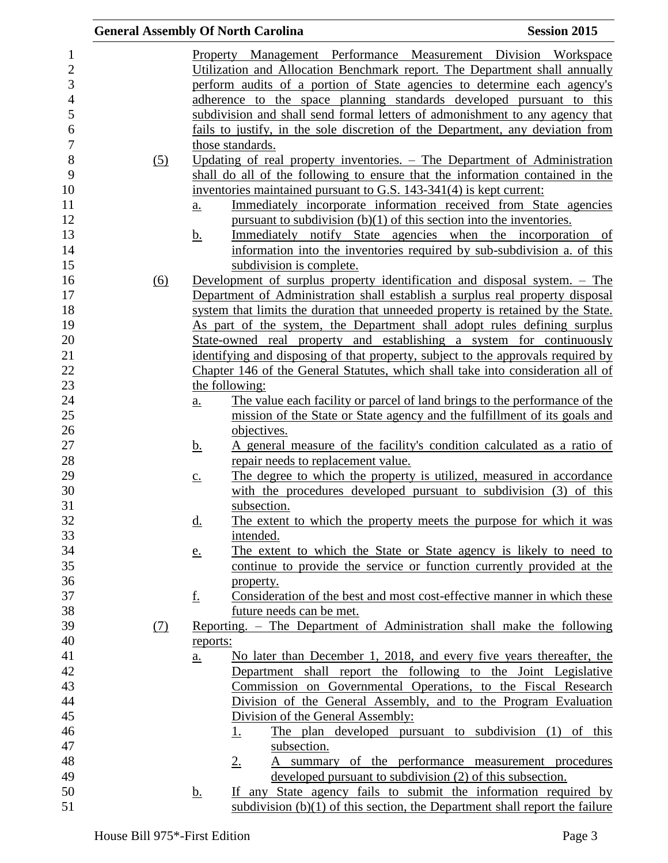|     | <b>General Assembly Of North Carolina</b>                                                 | <b>Session 2015</b> |
|-----|-------------------------------------------------------------------------------------------|---------------------|
|     | Property Management Performance Measurement Division Workspace                            |                     |
|     | Utilization and Allocation Benchmark report. The Department shall annually                |                     |
|     | perform audits of a portion of State agencies to determine each agency's                  |                     |
|     | adherence to the space planning standards developed pursuant to this                      |                     |
|     | subdivision and shall send formal letters of admonishment to any agency that              |                     |
|     |                                                                                           |                     |
|     | fails to justify, in the sole discretion of the Department, any deviation from            |                     |
|     | those standards.                                                                          |                     |
| (5) | Updating of real property inventories. – The Department of Administration                 |                     |
|     | shall do all of the following to ensure that the information contained in the             |                     |
|     | inventories maintained pursuant to G.S. 143-341(4) is kept current:                       |                     |
|     | Immediately incorporate information received from State agencies<br><u>a.</u>             |                     |
|     | pursuant to subdivision $(b)(1)$ of this section into the inventories.                    |                     |
|     | Immediately notify State agencies when the incorporation of<br><u>b.</u>                  |                     |
|     | information into the inventories required by sub-subdivision a. of this                   |                     |
|     | subdivision is complete.                                                                  |                     |
| (6) | Development of surplus property identification and disposal system. – The                 |                     |
|     | Department of Administration shall establish a surplus real property disposal             |                     |
|     | system that limits the duration that unneeded property is retained by the State.          |                     |
|     | As part of the system, the Department shall adopt rules defining surplus                  |                     |
|     | State-owned real property and establishing a system for continuously                      |                     |
|     | identifying and disposing of that property, subject to the approvals required by          |                     |
|     | Chapter 146 of the General Statutes, which shall take into consideration all of           |                     |
|     | the following:                                                                            |                     |
|     | The value each facility or parcel of land brings to the performance of the<br>a.          |                     |
|     | mission of the State or State agency and the fulfillment of its goals and                 |                     |
|     | objectives.                                                                               |                     |
|     | A general measure of the facility's condition calculated as a ratio of<br><u>b.</u>       |                     |
|     | repair needs to replacement value.                                                        |                     |
|     | The degree to which the property is utilized, measured in accordance<br>$\underline{c}$ . |                     |
|     | with the procedures developed pursuant to subdivision (3) of this                         |                     |
|     | subsection.                                                                               |                     |
|     | The extent to which the property meets the purpose for which it was<br><u>d.</u>          |                     |
|     | intended.                                                                                 |                     |
|     | The extent to which the State or State agency is likely to need to<br><u>e.</u>           |                     |
|     | continue to provide the service or function currently provided at the                     |                     |
|     | property.                                                                                 |                     |
|     | <u>f.</u><br>Consideration of the best and most cost-effective manner in which these      |                     |
|     | future needs can be met.                                                                  |                     |
| (7) | Reporting. - The Department of Administration shall make the following                    |                     |
|     | reports:                                                                                  |                     |
|     | No later than December 1, 2018, and every five years thereafter, the<br>$\underline{a}$ . |                     |
|     | Department shall report the following to the Joint Legislative                            |                     |
|     | Commission on Governmental Operations, to the Fiscal Research                             |                     |
|     | Division of the General Assembly, and to the Program Evaluation                           |                     |
|     | Division of the General Assembly:                                                         |                     |
|     | The plan developed pursuant to subdivision (1) of this<br><u>1.</u>                       |                     |
|     | subsection.                                                                               |                     |
|     | 2.<br>summary of the performance measurement procedures                                   |                     |
|     | developed pursuant to subdivision (2) of this subsection.                                 |                     |
|     | If any State agency fails to submit the information required by<br><u>b.</u>              |                     |
|     | subdivision $(b)(1)$ of this section, the Department shall report the failure             |                     |
|     |                                                                                           |                     |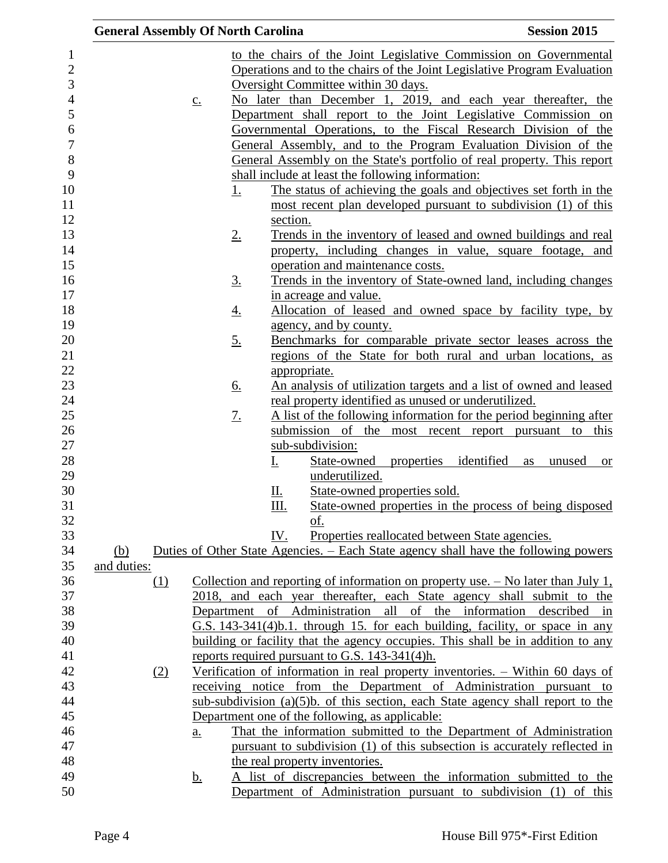|             |                   | <b>General Assembly Of North Carolina</b> |                                                                                                                             | <b>Session 2015</b>       |
|-------------|-------------------|-------------------------------------------|-----------------------------------------------------------------------------------------------------------------------------|---------------------------|
|             |                   |                                           | to the chairs of the Joint Legislative Commission on Governmental                                                           |                           |
|             |                   |                                           | Operations and to the chairs of the Joint Legislative Program Evaluation                                                    |                           |
|             |                   |                                           | Oversight Committee within 30 days.                                                                                         |                           |
|             | $\underline{c}$ . |                                           | No later than December 1, 2019, and each year thereafter, the                                                               |                           |
|             |                   |                                           | Department shall report to the Joint Legislative Commission on                                                              |                           |
|             |                   |                                           | Governmental Operations, to the Fiscal Research Division of the                                                             |                           |
|             |                   |                                           | General Assembly, and to the Program Evaluation Division of the                                                             |                           |
|             |                   |                                           | General Assembly on the State's portfolio of real property. This report                                                     |                           |
|             |                   |                                           | shall include at least the following information:                                                                           |                           |
|             |                   | <u>1.</u>                                 | The status of achieving the goals and objectives set forth in the                                                           |                           |
|             |                   |                                           | most recent plan developed pursuant to subdivision (1) of this                                                              |                           |
|             |                   | section.                                  |                                                                                                                             |                           |
|             |                   |                                           |                                                                                                                             |                           |
|             |                   | 2.                                        | Trends in the inventory of leased and owned buildings and real<br>property, including changes in value, square footage, and |                           |
|             |                   |                                           | operation and maintenance costs.                                                                                            |                           |
|             |                   |                                           |                                                                                                                             |                           |
|             |                   | <u>3.</u>                                 | Trends in the inventory of State-owned land, including changes                                                              |                           |
|             |                   |                                           | in acreage and value.                                                                                                       |                           |
|             |                   | <u>4.</u>                                 | Allocation of leased and owned space by facility type, by                                                                   |                           |
|             |                   |                                           | agency, and by county.                                                                                                      |                           |
|             |                   | <u>5.</u>                                 | Benchmarks for comparable private sector leases across the<br>regions of the State for both rural and urban locations, as   |                           |
|             |                   |                                           |                                                                                                                             |                           |
|             |                   | appropriate.                              |                                                                                                                             |                           |
|             |                   | <u>6.</u>                                 | An analysis of utilization targets and a list of owned and leased                                                           |                           |
|             |                   |                                           | real property identified as unused or underutilized.                                                                        |                           |
|             |                   | 7.                                        | A list of the following information for the period beginning after                                                          |                           |
|             |                   |                                           | submission of the most recent report pursuant to this                                                                       |                           |
|             |                   |                                           | sub-subdivision:                                                                                                            |                           |
|             |                   | <u>I.</u>                                 | State-owned properties identified                                                                                           | unused<br>as<br><b>or</b> |
|             |                   |                                           | underutilized.                                                                                                              |                           |
|             |                   | <u>Ш.</u>                                 | State-owned properties sold.                                                                                                |                           |
|             |                   | Ш.                                        | State-owned properties in the process of being disposed                                                                     |                           |
|             |                   |                                           | <u>of.</u>                                                                                                                  |                           |
|             |                   | IV.                                       | Properties reallocated between State agencies.                                                                              |                           |
| (b)         |                   |                                           | Duties of Other State Agencies. – Each State agency shall have the following powers                                         |                           |
| and duties: |                   |                                           |                                                                                                                             |                           |
| <u>(1)</u>  |                   |                                           | Collection and reporting of information on property use. $-$ No later than July 1,                                          |                           |
|             |                   |                                           | 2018, and each year thereafter, each State agency shall submit to the                                                       |                           |
|             |                   |                                           | Department of Administration all of the information described in                                                            |                           |
|             |                   |                                           | G.S. 143-341(4)b.1. through 15. for each building, facility, or space in any                                                |                           |
|             |                   |                                           | building or facility that the agency occupies. This shall be in addition to any                                             |                           |
|             |                   |                                           | reports required pursuant to G.S. 143-341(4)h.                                                                              |                           |
| (2)         |                   |                                           | Verification of information in real property inventories. - Within 60 days of                                               |                           |
|             |                   |                                           | receiving notice from the Department of Administration pursuant to                                                          |                           |
|             |                   |                                           | sub-subdivision $(a)(5)b$ . of this section, each State agency shall report to the                                          |                           |
|             |                   |                                           | Department one of the following, as applicable:                                                                             |                           |
|             | a.                |                                           | That the information submitted to the Department of Administration                                                          |                           |
|             |                   |                                           | pursuant to subdivision (1) of this subsection is accurately reflected in                                                   |                           |
|             |                   | the real property inventories.            |                                                                                                                             |                           |
|             | <u>b.</u>         |                                           | A list of discrepancies between the information submitted to the                                                            |                           |
|             |                   |                                           | Department of Administration pursuant to subdivision (1) of this                                                            |                           |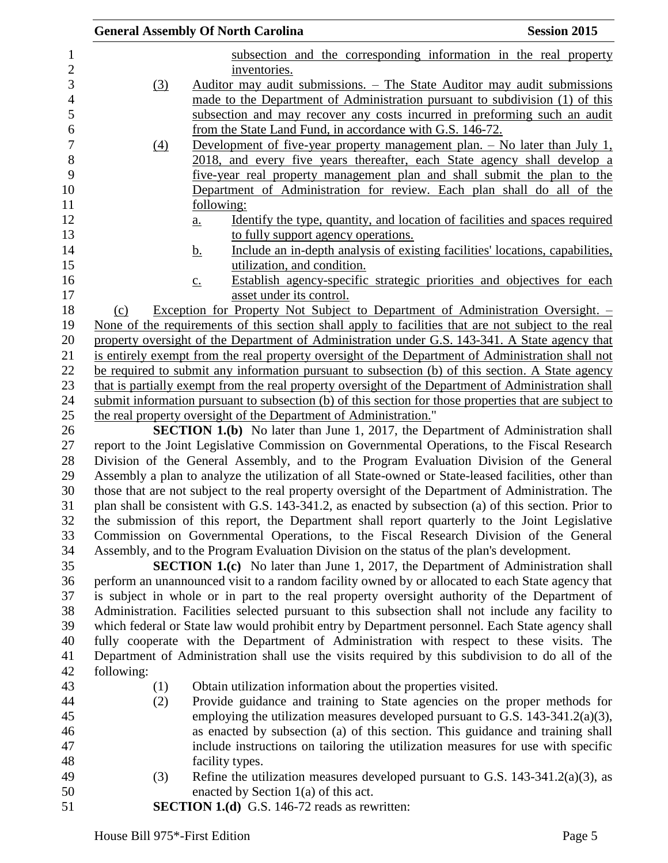|                  | <b>General Assembly Of North Carolina</b>                                                              | <b>Session 2015</b> |
|------------------|--------------------------------------------------------------------------------------------------------|---------------------|
|                  | subsection and the corresponding information in the real property                                      |                     |
|                  | inventories.                                                                                           |                     |
| $\left(3\right)$ | Auditor may audit submissions. – The State Auditor may audit submissions                               |                     |
|                  | made to the Department of Administration pursuant to subdivision (1) of this                           |                     |
|                  | subsection and may recover any costs incurred in preforming such an audit                              |                     |
|                  | from the State Land Fund, in accordance with G.S. 146-72.                                              |                     |
| $\left(4\right)$ | <u>Development of five-year property management plan. – No later than July 1,</u>                      |                     |
|                  | 2018, and every five years thereafter, each State agency shall develop a                               |                     |
|                  | five-year real property management plan and shall submit the plan to the                               |                     |
|                  | Department of Administration for review. Each plan shall do all of the                                 |                     |
|                  | <u>following:</u>                                                                                      |                     |
|                  | Identify the type, quantity, and location of facilities and spaces required<br>$\underline{a}$ .       |                     |
|                  | to fully support agency operations.                                                                    |                     |
|                  | Include an in-depth analysis of existing facilities' locations, capabilities,<br><u>b.</u>             |                     |
|                  | utilization, and condition.                                                                            |                     |
|                  | Establish agency-specific strategic priorities and objectives for each<br>$\underline{c}$ .            |                     |
|                  | asset under its control.                                                                               |                     |
| (c)              | Exception for Property Not Subject to Department of Administration Oversight. -                        |                     |
|                  | None of the requirements of this section shall apply to facilities that are not subject to the real    |                     |
|                  | property oversight of the Department of Administration under G.S. 143-341. A State agency that         |                     |
|                  | is entirely exempt from the real property oversight of the Department of Administration shall not      |                     |
|                  | be required to submit any information pursuant to subsection (b) of this section. A State agency       |                     |
|                  | that is partially exempt from the real property oversight of the Department of Administration shall    |                     |
|                  | submit information pursuant to subsection (b) of this section for those properties that are subject to |                     |
|                  | the real property oversight of the Department of Administration."                                      |                     |
|                  | <b>SECTION 1.(b)</b> No later than June 1, 2017, the Department of Administration shall                |                     |
|                  | report to the Joint Legislative Commission on Governmental Operations, to the Fiscal Research          |                     |
|                  | Division of the General Assembly, and to the Program Evaluation Division of the General                |                     |
|                  | Assembly a plan to analyze the utilization of all State-owned or State-leased facilities, other than   |                     |
|                  | those that are not subject to the real property oversight of the Department of Administration. The     |                     |
|                  | plan shall be consistent with G.S. 143-341.2, as enacted by subsection (a) of this section. Prior to   |                     |
|                  | the submission of this report, the Department shall report quarterly to the Joint Legislative          |                     |
|                  | Commission on Governmental Operations, to the Fiscal Research Division of the General                  |                     |
|                  | Assembly, and to the Program Evaluation Division on the status of the plan's development.              |                     |
|                  | <b>SECTION 1.(c)</b> No later than June 1, 2017, the Department of Administration shall                |                     |
|                  | perform an unannounced visit to a random facility owned by or allocated to each State agency that      |                     |
|                  | is subject in whole or in part to the real property oversight authority of the Department of           |                     |
|                  | Administration. Facilities selected pursuant to this subsection shall not include any facility to      |                     |
|                  | which federal or State law would prohibit entry by Department personnel. Each State agency shall       |                     |
|                  | fully cooperate with the Department of Administration with respect to these visits. The                |                     |
|                  | Department of Administration shall use the visits required by this subdivision to do all of the        |                     |
| following:       |                                                                                                        |                     |
| (1)              | Obtain utilization information about the properties visited.                                           |                     |
| (2)              | Provide guidance and training to State agencies on the proper methods for                              |                     |
|                  | employing the utilization measures developed pursuant to G.S. $143-341.2(a)(3)$ ,                      |                     |
|                  | as enacted by subsection (a) of this section. This guidance and training shall                         |                     |
|                  | include instructions on tailoring the utilization measures for use with specific                       |                     |
|                  | facility types.                                                                                        |                     |
| (3)              | Refine the utilization measures developed pursuant to G.S. $143-341.2(a)(3)$ , as                      |                     |
|                  | enacted by Section $1(a)$ of this act.                                                                 |                     |
|                  | <b>SECTION 1.(d)</b> G.S. 146-72 reads as rewritten:                                                   |                     |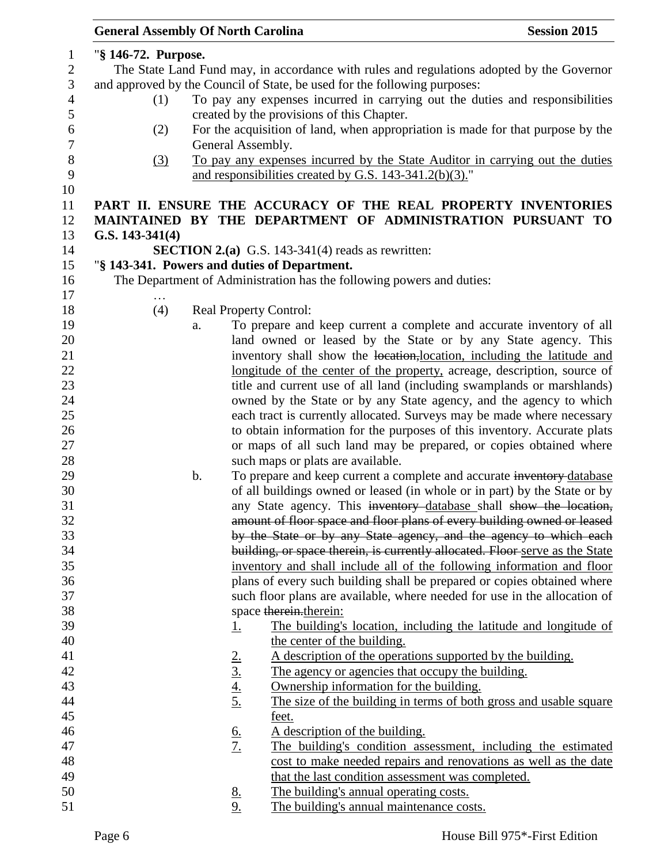| <b>General Assembly Of North Carolina</b> |    |                                    |                                                                                                       | <b>Session 2015</b> |
|-------------------------------------------|----|------------------------------------|-------------------------------------------------------------------------------------------------------|---------------------|
| "§ 146-72. Purpose.                       |    |                                    |                                                                                                       |                     |
|                                           |    |                                    | The State Land Fund may, in accordance with rules and regulations adopted by the Governor             |                     |
|                                           |    |                                    | and approved by the Council of State, be used for the following purposes:                             |                     |
| (1)                                       |    |                                    | To pay any expenses incurred in carrying out the duties and responsibilities                          |                     |
|                                           |    |                                    |                                                                                                       |                     |
|                                           |    |                                    | created by the provisions of this Chapter.                                                            |                     |
| (2)                                       |    |                                    | For the acquisition of land, when appropriation is made for that purpose by the                       |                     |
|                                           |    | General Assembly.                  |                                                                                                       |                     |
| $\left(3\right)$                          |    |                                    | To pay any expenses incurred by the State Auditor in carrying out the duties                          |                     |
|                                           |    |                                    | and responsibilities created by G.S. 143-341.2(b)(3)."                                                |                     |
|                                           |    |                                    | PART II. ENSURE THE ACCURACY OF THE REAL PROPERTY INVENTORIES                                         |                     |
|                                           |    |                                    | MAINTAINED BY THE DEPARTMENT OF ADMINISTRATION PURSUANT TO                                            |                     |
| G.S. $143-341(4)$                         |    |                                    |                                                                                                       |                     |
|                                           |    |                                    | <b>SECTION 2.(a)</b> G.S. 143-341(4) reads as rewritten:                                              |                     |
|                                           |    |                                    | "§ 143-341. Powers and duties of Department.                                                          |                     |
|                                           |    |                                    |                                                                                                       |                     |
|                                           |    |                                    | The Department of Administration has the following powers and duties:                                 |                     |
| $\ddotsc$<br>(4)                          |    |                                    |                                                                                                       |                     |
|                                           |    |                                    | <b>Real Property Control:</b><br>To prepare and keep current a complete and accurate inventory of all |                     |
|                                           | a. |                                    | land owned or leased by the State or by any State agency. This                                        |                     |
|                                           |    |                                    | inventory shall show the location, location, including the latitude and                               |                     |
|                                           |    |                                    | longitude of the center of the property, acreage, description, source of                              |                     |
|                                           |    |                                    | title and current use of all land (including swamplands or marshlands)                                |                     |
|                                           |    |                                    | owned by the State or by any State agency, and the agency to which                                    |                     |
|                                           |    |                                    | each tract is currently allocated. Surveys may be made where necessary                                |                     |
|                                           |    |                                    | to obtain information for the purposes of this inventory. Accurate plats                              |                     |
|                                           |    |                                    | or maps of all such land may be prepared, or copies obtained where                                    |                     |
|                                           |    |                                    | such maps or plats are available.                                                                     |                     |
|                                           | b. |                                    | To prepare and keep current a complete and accurate inventory-database                                |                     |
|                                           |    |                                    | of all buildings owned or leased (in whole or in part) by the State or by                             |                     |
|                                           |    |                                    | any State agency. This inventory database shall show the location,                                    |                     |
|                                           |    |                                    | amount of floor space and floor plans of every building owned or leased                               |                     |
|                                           |    |                                    | by the State or by any State agency, and the agency to which each                                     |                     |
|                                           |    |                                    | building, or space therein, is currently allocated. Floor serve as the State                          |                     |
|                                           |    |                                    | inventory and shall include all of the following information and floor                                |                     |
|                                           |    |                                    | plans of every such building shall be prepared or copies obtained where                               |                     |
|                                           |    |                                    | such floor plans are available, where needed for use in the allocation of                             |                     |
|                                           |    |                                    | space therein.therein:                                                                                |                     |
|                                           |    | <u>1.</u>                          | The building's location, including the latitude and longitude of                                      |                     |
|                                           |    |                                    | the center of the building.                                                                           |                     |
|                                           |    |                                    | A description of the operations supported by the building.                                            |                     |
|                                           |    | $\frac{2.}{3.}$<br>$\frac{4.}{5.}$ | The agency or agencies that occupy the building.                                                      |                     |
|                                           |    |                                    | Ownership information for the building.                                                               |                     |
|                                           |    |                                    | The size of the building in terms of both gross and usable square                                     |                     |
|                                           |    |                                    | feet.                                                                                                 |                     |
|                                           |    |                                    | A description of the building.                                                                        |                     |
|                                           |    | $rac{6}{7}$                        | The building's condition assessment, including the estimated                                          |                     |
|                                           |    |                                    | cost to make needed repairs and renovations as well as the date                                       |                     |
|                                           |    |                                    | that the last condition assessment was completed.                                                     |                     |
|                                           |    |                                    | The building's annual operating costs.                                                                |                     |
|                                           |    | $\frac{8}{9}$ .                    | The building's annual maintenance costs.                                                              |                     |
|                                           |    |                                    |                                                                                                       |                     |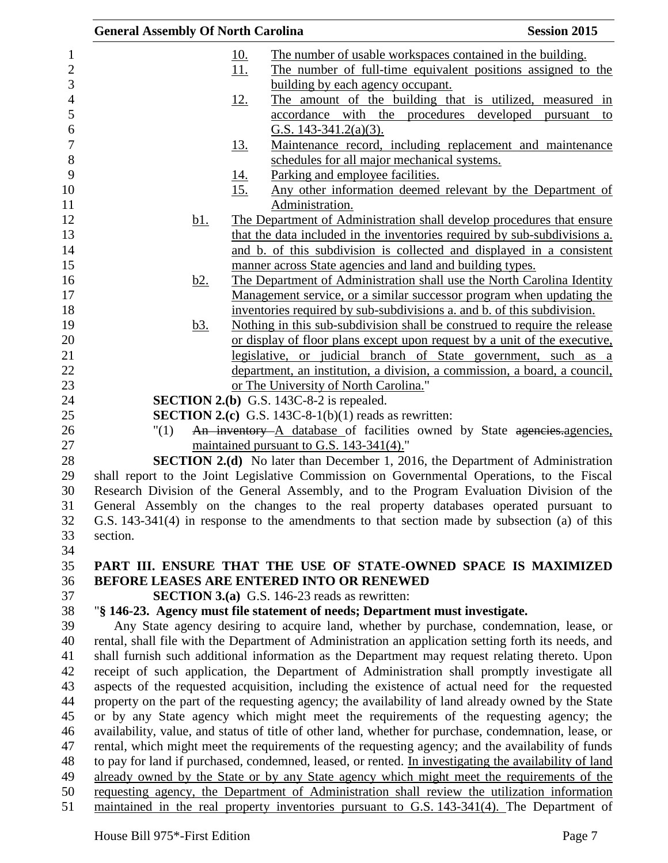| <b>General Assembly Of North Carolina</b> |                                                                                                                                                | <b>Session 2015</b> |
|-------------------------------------------|------------------------------------------------------------------------------------------------------------------------------------------------|---------------------|
|                                           | <u>The number of usable workspaces contained in the building.</u><br><u>10.</u>                                                                |                     |
|                                           | 11.<br>The number of full-time equivalent positions assigned to the                                                                            |                     |
|                                           | building by each agency occupant.                                                                                                              |                     |
|                                           | The amount of the building that is utilized, measured in<br><u>12.</u>                                                                         |                     |
|                                           | accordance with the procedures developed pursuant to                                                                                           |                     |
|                                           | G.S. $143-341.2(a)(3)$ .                                                                                                                       |                     |
|                                           | Maintenance record, including replacement and maintenance<br><u>13.</u>                                                                        |                     |
|                                           | schedules for all major mechanical systems.                                                                                                    |                     |
|                                           | Parking and employee facilities.<br><u>14.</u>                                                                                                 |                     |
|                                           | 15.<br>Any other information deemed relevant by the Department of                                                                              |                     |
|                                           | Administration.                                                                                                                                |                     |
| <u>b1.</u>                                | The Department of Administration shall develop procedures that ensure                                                                          |                     |
|                                           | that the data included in the inventories required by sub-subdivisions a.                                                                      |                     |
|                                           | and b. of this subdivision is collected and displayed in a consistent                                                                          |                     |
|                                           | manner across State agencies and land and building types.                                                                                      |                     |
| <u>b2.</u>                                | The Department of Administration shall use the North Carolina Identity<br>Management service, or a similar successor program when updating the |                     |
|                                           | inventories required by sub-subdivisions a. and b. of this subdivision.                                                                        |                     |
| <u>b3.</u>                                | Nothing in this sub-subdivision shall be construed to require the release                                                                      |                     |
|                                           | or display of floor plans except upon request by a unit of the executive,                                                                      |                     |
|                                           | legislative, or judicial branch of State government, such as a                                                                                 |                     |
|                                           | department, an institution, a division, a commission, a board, a council,                                                                      |                     |
|                                           | or The University of North Carolina."                                                                                                          |                     |
|                                           | <b>SECTION 2.(b)</b> G.S. 143C-8-2 is repealed.                                                                                                |                     |
|                                           | <b>SECTION 2.(c)</b> G.S. 143C-8-1(b)(1) reads as rewritten:                                                                                   |                     |
| "(1)                                      | An inventory A database of facilities owned by State agencies. agencies,                                                                       |                     |
|                                           | maintained pursuant to G.S. 143-341(4)."                                                                                                       |                     |
|                                           | <b>SECTION 2.(d)</b> No later than December 1, 2016, the Department of Administration                                                          |                     |
|                                           | shall report to the Joint Legislative Commission on Governmental Operations, to the Fiscal                                                     |                     |
|                                           | Research Division of the General Assembly, and to the Program Evaluation Division of the                                                       |                     |
|                                           | General Assembly on the changes to the real property databases operated pursuant to                                                            |                     |
| section.                                  | G.S. 143-341(4) in response to the amendments to that section made by subsection (a) of this                                                   |                     |
|                                           |                                                                                                                                                |                     |
|                                           | PART III. ENSURE THAT THE USE OF STATE-OWNED SPACE IS MAXIMIZED                                                                                |                     |
|                                           | <b>BEFORE LEASES ARE ENTERED INTO OR RENEWED</b>                                                                                               |                     |
|                                           | <b>SECTION 3.(a)</b> G.S. 146-23 reads as rewritten:                                                                                           |                     |
|                                           | "§ 146-23. Agency must file statement of needs; Department must investigate.                                                                   |                     |
|                                           | Any State agency desiring to acquire land, whether by purchase, condemnation, lease, or                                                        |                     |
|                                           | rental, shall file with the Department of Administration an application setting forth its needs, and                                           |                     |
|                                           | shall furnish such additional information as the Department may request relating thereto. Upon                                                 |                     |
|                                           | receipt of such application, the Department of Administration shall promptly investigate all                                                   |                     |
|                                           | aspects of the requested acquisition, including the existence of actual need for the requested                                                 |                     |
|                                           | property on the part of the requesting agency; the availability of land already owned by the State                                             |                     |
|                                           | or by any State agency which might meet the requirements of the requesting agency; the                                                         |                     |
|                                           | availability, value, and status of title of other land, whether for purchase, condemnation, lease, or                                          |                     |
|                                           | rental, which might meet the requirements of the requesting agency; and the availability of funds                                              |                     |
|                                           | to pay for land if purchased, condemned, leased, or rented. In investigating the availability of land                                          |                     |
|                                           | already owned by the State or by any State agency which might meet the requirements of the                                                     |                     |
|                                           | requesting agency, the Department of Administration shall review the utilization information                                                   |                     |
|                                           | maintained in the real property inventories pursuant to G.S. 143-341(4). The Department of                                                     |                     |